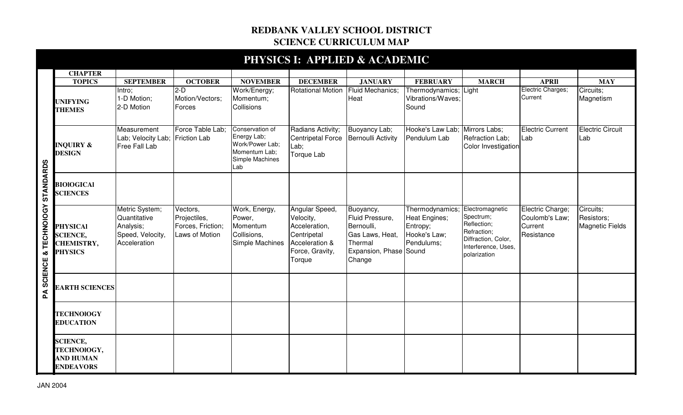## **REDBANK VALLEY SCHOOL DISTRICT SCIENCE CURRICULUM MAP**

|                                          |                                                                           |                                                                                 |                                                                 |                                                                                              |                                                                                                            | PHYSICS I: APPLIED & ACADEMIC                                                                                |                                                                                                   |                                                                                                       |                                                             |                                                   |
|------------------------------------------|---------------------------------------------------------------------------|---------------------------------------------------------------------------------|-----------------------------------------------------------------|----------------------------------------------------------------------------------------------|------------------------------------------------------------------------------------------------------------|--------------------------------------------------------------------------------------------------------------|---------------------------------------------------------------------------------------------------|-------------------------------------------------------------------------------------------------------|-------------------------------------------------------------|---------------------------------------------------|
|                                          | <b>CHAPTER</b>                                                            |                                                                                 |                                                                 |                                                                                              |                                                                                                            |                                                                                                              |                                                                                                   |                                                                                                       |                                                             |                                                   |
|                                          | <b>TOPICS</b>                                                             | <b>SEPTEMBER</b>                                                                | <b>OCTOBER</b>                                                  | <b>NOVEMBER</b>                                                                              | <b>DECEMBER</b>                                                                                            | <b>JANUARY</b>                                                                                               | <b>FEBRUARY</b>                                                                                   | <b>MARCH</b>                                                                                          | <b>APRII</b>                                                | <b>MAY</b>                                        |
|                                          | <b>UNIFYING</b><br><b>THEMES</b>                                          | Intro:<br>1-D Motion;<br>2-D Motion                                             | $2-D$<br>Motion/Vectors;<br>Forces                              | Work/Energy;<br>Momentum;<br><b>Collisions</b>                                               | <b>Rotational Motion</b>                                                                                   | <b>Fluid Mechanics;</b><br>Heat                                                                              | Thermodynamics; Light<br>Vibrations/Waves;<br>Sound                                               |                                                                                                       | Electric Charges;<br>Current                                | Circuits;<br>Magnetism                            |
|                                          | <b>INQUIRY &amp;</b><br><b>DESIGN</b>                                     | Measurement<br>Lab; Velocity Lab;<br>Free Fall Lab                              | Force Table Lab:<br><b>Friction Lab</b>                         | Conservation of<br>Energy Lab;<br>Work/Power Lab;<br>Momentum Lab:<br>Simple Machines<br>Lab | Radians Activity;<br><b>Centripetal Force</b><br>Lab;<br>Torque Lab                                        | Buoyancy Lab;<br>Bernoulli Activity                                                                          | Hooke's Law Lab; Mirrors Labs;<br>Pendulum Lab                                                    | Refraction Lab;<br>Color Investigation                                                                | <b>Electric Current</b><br>Lab                              | <b>Electric Circuit</b><br>Lab                    |
| STANDARDS                                | <b>BIOIOGICAI</b><br><b>SCIENCES</b>                                      |                                                                                 |                                                                 |                                                                                              |                                                                                                            |                                                                                                              |                                                                                                   |                                                                                                       |                                                             |                                                   |
| <b>TECHNOIOGY</b><br>જ<br><b>SCIENCE</b> | <b>PHYSICAI</b><br><b>SCIENCE,</b><br><b>CHEMISTRY,</b><br><b>PHYSICS</b> | Metric System;<br>Quantitative<br>Analysis;<br>Speed, Velocity,<br>Acceleration | Vectors,<br>Projectiles,<br>Forces, Friction;<br>Laws of Motion | Work, Energy,<br>Power,<br>Momentum<br>Collisions,<br>Simple Machines                        | Angular Speed,<br>Velocity,<br>Acceleration,<br>Centripetal<br>Acceleration &<br>Force, Gravity,<br>Torque | Buoyancy,<br>Fluid Pressure,<br>Bernoulli,<br>Gas Laws, Heat,<br>Thermal<br>Expansion, Phase Sound<br>Change | Thermodynamics; Electromagnetic<br><b>Heat Engines;</b><br>Entropy;<br>Hooke's Law;<br>Pendulums; | Spectrum;<br>Reflection;<br>Refraction;<br>Diffraction, Color,<br>Interference, Uses,<br>polarization | Electric Charge;<br>Coulomb's Law;<br>Current<br>Resistance | Circuits;<br>Resistors;<br><b>Magnetic Fields</b> |
| $\mathbf{z}$                             | <b>EARTH SCIENCES</b>                                                     |                                                                                 |                                                                 |                                                                                              |                                                                                                            |                                                                                                              |                                                                                                   |                                                                                                       |                                                             |                                                   |
|                                          | <b>TECHNOIOGY</b><br><b>EDUCATION</b>                                     |                                                                                 |                                                                 |                                                                                              |                                                                                                            |                                                                                                              |                                                                                                   |                                                                                                       |                                                             |                                                   |
|                                          | <b>SCIENCE,</b><br>TECHNOIOGY,<br><b>AND HUMAN</b><br><b>ENDEAVORS</b>    |                                                                                 |                                                                 |                                                                                              |                                                                                                            |                                                                                                              |                                                                                                   |                                                                                                       |                                                             |                                                   |